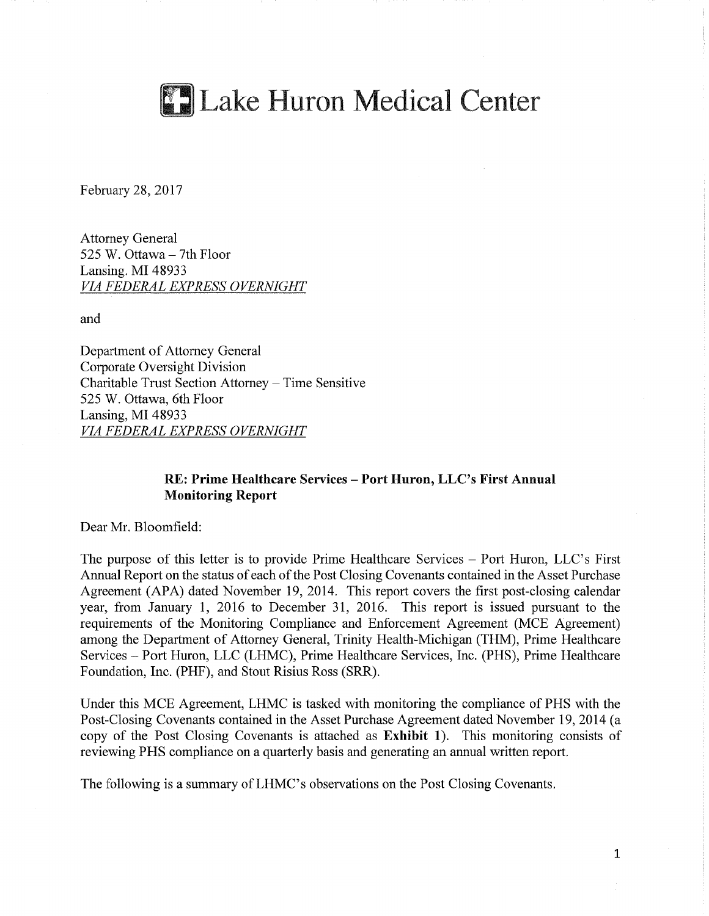

February 28, 2017

Attorney General 525 W. Ottawa - 7th Floor Lansing. MI 48933 *VIA FEDERAL EXPRESS OVERNIGHT* 

and

Department of Attorney General Corporate Oversight Division Charitable Trust Section Attorney - Time Sensitive 525 W. Ottawa, 6th Floor Lansing, MI 48933 *VIA FEDERAL EXPRESS OVERNIGHT* 

## **RE: Prime Healthcare Services** - **Port Huron,** LLC's First **Annual Monitoring Report**

Dear Mr. Bloomfield:

The purpose of this letter is to provide Prime Healthcare Services – Port Huron, LLC's First Annual Report on the status of each of the Post Closing Covenants contained in the Asset Purchase Agreement (APA) dated November 19, 2014. This report covers the first post-closing calendar year, from January 1, 2016 to December 31, 2016. This report is issued pursuant to the requirements of the Monitoring Compliance and Enforcement Agreement (MCE Agreement) among the Department of Attorney General, Trinity Health-Michigan (THM), Prime Healthcare Services - Port Huron, LLC (LHMC), Prime Healthcare Services, Inc. (PHS), Prime Healthcare Foundation, Inc. (PHF), and Stout Risius Ross (SRR).

Under this MCE Agreement, LHMC is tasked with monitoring the compliance of PHS with the Post-Closing Covenants contained in the Asset Purchase Agreement dated November 19, 2014 (a copy of the Post Closing Covenants is attached as **Exhibit 1).** This monitoring consists of reviewing PHS compliance on a quarterly basis and generating an annual written report.

The following is a summary of LHMC's observations on the Post Closing Covenants.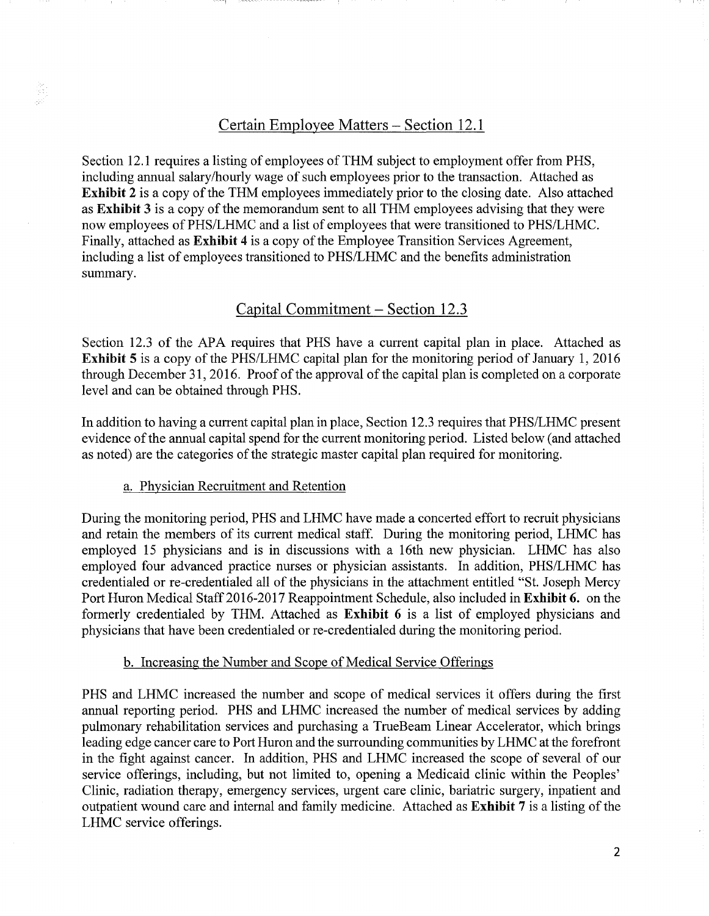## Certain Employee Matters - Section 12.1

Section 12.1 requires a listing of employees of THM subject to employment offer from PHS, including annual salary/hourly wage of such employees prior to the transaction. Attached as Exhibit 2 is a copy of the THM employees immediately prior to the closing date. Also attached as Exhibit 3 is a copy of the memorandum sent to all THM employees advising that they were now employees ofPHS/LHMC and a list of employees that were transitioned to PHS/LHMC. Finally, attached as Exhibit 4 is a copy of the Employee Transition Services Agreement, including a list of employees transitioned to PHS/LHMC and the benefits administration summary.

## Capital Commitment – Section 12.3

Section 12.3 of the APA requires that PHS have a current capital plan in place. Attached as Exhibit 5 is a copy of the PHS/LHMC capital plan for the monitoring period of January 1, 2016 through December 31, 2016. Proof of the approval of the capital plan is completed on a corporate level and can be obtained through PHS.

In addition to having a current capital plan in place, Section 12.3 requires that PHS/LHMC present evidence of the annual capital spend for the current monitoring period. Listed below (and attached as noted) are the categories of the strategic master capital plan required for monitoring.

#### a. Physician Recruitment and Retention

증

During the monitoring period, PHS and LHMC have made a concerted effort to recruit physicians and retain the members of its current medical staff. During the monitoring period, LHMC has employed 15 physicians and is in discussions with a 16th new physician. LHMC has also employed four advanced practice nurses or physician assistants. In addition, PHS/LHMC has credentialed or re-credentialed all of the physicians in the attachment entitled "St. Joseph Mercy Port Huron Medical Staff 2016-2017 Reappointment Schedule, also included in **Exhibit 6.** on the formerly credentialed by THM. Attached as **Exhibit 6** is a list of employed physicians and physicians that have been credentialed or re-credentialed during the monitoring period.

### b. Increasing the Number and Scope of Medical Service Offerings

PHS and LHMC increased the number and scope of medical services it offers during the first annual reporting period. PHS and LHMC increased the number of medical services by adding pulmonary rehabilitation services and purchasing a TrueBeam Linear Accelerator, which brings leading edge cancer care to Port Huron and the surrounding communities by LHMC at the forefront in the fight against cancer. In addition, PHS and LHMC increased the scope of several of our service offerings, including, but not limited to, opening a Medicaid clinic within the Peoples' Clinic, radiation therapy, emergency services, urgent care clinic, bariatric surgery, inpatient and outpatient wound care and internal and family medicine. Attached as **Exhibit 7** is a listing of the LHMC service offerings.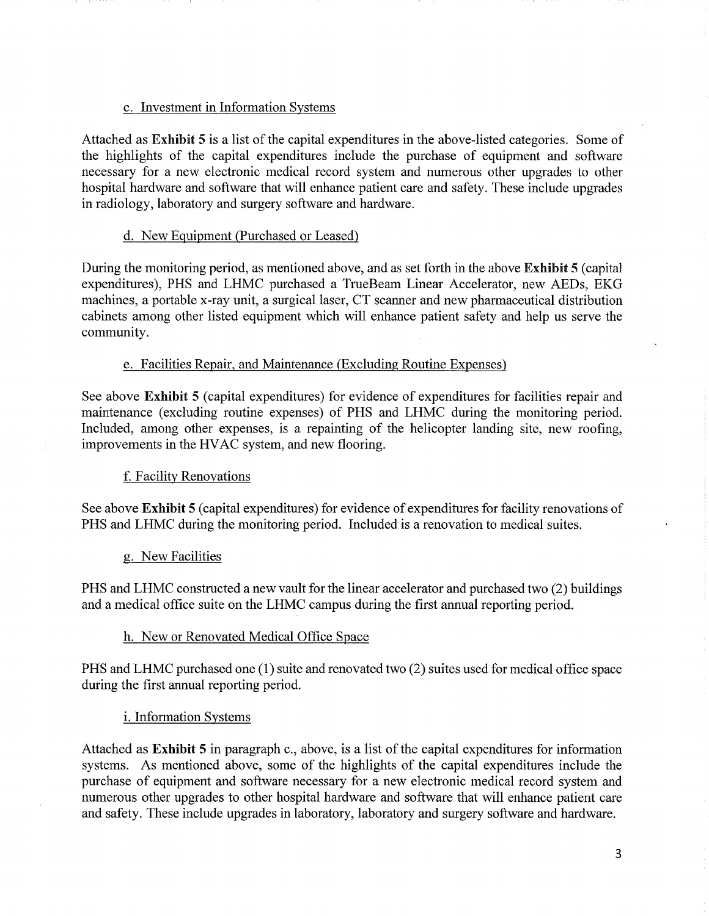## c. Investment in Information Systems

Attached as Exhibit 5 is a list of the capital expenditures in the above-listed categories. Some of the highlights of the capital expenditures include the purchase of equipment and software necessary for a new electronic medical record system and numerous other upgrades to other hospital hardware and software that will enhance patient care and safety. These include upgrades in radiology, laboratory and surgery software and hardware.

## d. New Equipment (Purchased or Leased)

During the monitoring period, as mentioned above, and as set forth in the above Exhibit 5 (capital expenditures), PHS and LHMC purchased a TrueBeam Linear Accelerator, new AEDs, EKG machines, a portable x-ray unit, a surgical laser, CT scanner and new pharmaceutical distribution cabinets among other listed equipment which will enhance patient safety and help us serve the community.

## e. Facilities Repair, and Maintenance (Excluding Routine Expenses)

See above Exhibit 5 (capital expenditures) for evidence of expenditures for facilities repair and maintenance (excluding routine expenses) of PHS and LHMC during the monitoring period. Included, among other expenses, is a repainting of the helicopter landing site, new roofing, improvements in the HV AC system, and new flooring.

## f. Facility Renovations

See above **Exhibit** 5 ( capital expenditures) for evidence of expenditures for facility renovations of PHS and LHMC during the monitoring period. Included is a renovation to medical suites.

#### g. New Facilities

PHS and LHMC constructed a new vault for the linear accelerator and purchased two (2) buildings and a medical office suite on the LHMC campus during the first annual reporting period.

#### h. New or Renovated Medical Office Space

PHS and LHMC purchased one (1) suite and renovated two (2) suites used for medical office space during the first annual reporting period.

## i. Information Systems

Attached as **Exhibit 5** in paragraph c., above, is a list of the capital expenditures for information systems. As mentioned above, some of the highlights of the capital expenditures include the purchase of equipment and software necessary for a new electronic medical record system and numerous other upgrades to other hospital hardware and software that will enhance patient care and safety. These include upgrades in laboratory, laboratory and surgery software and hardware.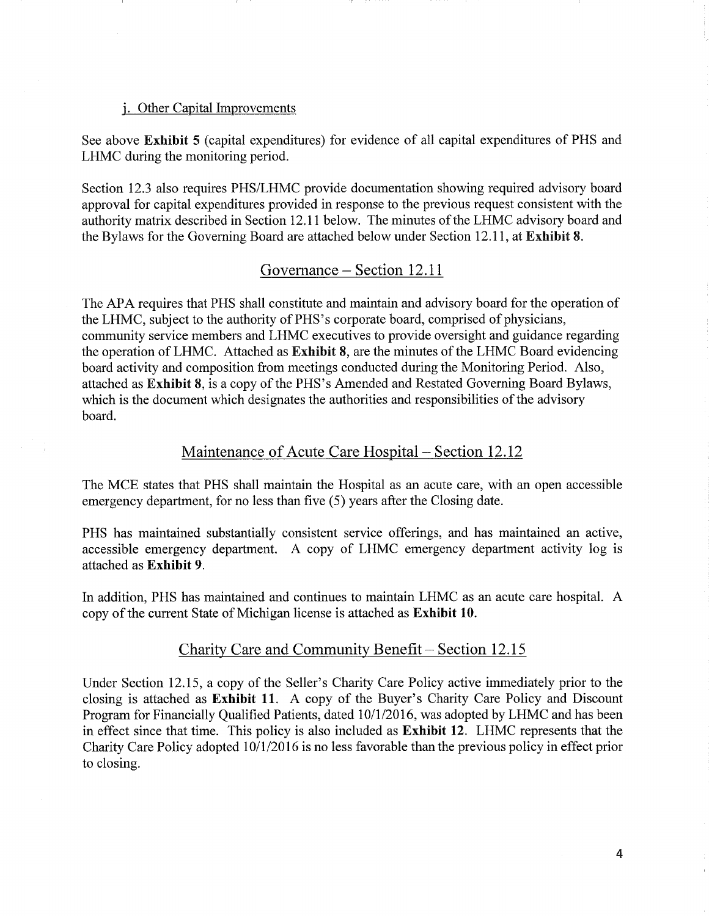#### j. Other Capital Improvements

See above Exhibit 5 (capital expenditures) for evidence of all capital expenditures of PHS and LHMC during the monitoring period.

Section 12.3 also requires PHS/LHMC provide documentation showing required advisory board approval for capital expenditures provided in response to the previous request consistent with the authority matrix described in Section 12.11 below. The minutes of the LHMC advisory board and the Bylaws for the Governing Board are attached below under Section 12.11, at Exhibit 8.

## Governance – Section 12.11

The APA requires that PHS shall constitute and maintain and advisory board for the operation of the LHMC, subject to the authority of PHS's corporate board, comprised of physicians, community service members and LHMC executives to provide oversight and guidance regarding the operation of LHMC. Attached as Exhibit 8, are the minutes of the LHMC Board evidencing board activity and composition from meetings conducted during the Monitoring Period. Also, attached as Exhibit 8, is a copy of the PHS's Amended and Restated Governing Board Bylaws, which is the document which designates the authorities and responsibilities of the advisory board.

# Maintenance of Acute Care Hospital - Section 12.12

The MCE states that PHS shall maintain the Hospital as an acute care, with an open accessible emergency department, for no less than five (5) years after the Closing date.

PHS has maintained substantially consistent service offerings, and has maintained an active, accessible emergency department. A copy of LHMC emergency department activity log is attached as **Exhibit 9.** 

In addition, PHS has maintained and continues to maintain LHMC as an acute care hospital. A copy of the current State of Michigan license is attached as **Exhibit 10**.

## Charity Care and Community Benefit – Section 12.15

Under Section 12.15, a copy of the Seller's Charity Care Policy active immediately prior to the closing is attached as **Exhibit 11.** A copy of the Buyer's Charity Care Policy and Discount Program for Financially Qualified Patients, dated 10/1/2016, was adopted by LHMC and has been in effect since that time. This policy is also included as **Exhibit 12.** LHMC represents that the Charity Care Policy adopted 10/1/2016 is no less favorable than the previous policy in effect prior to closing.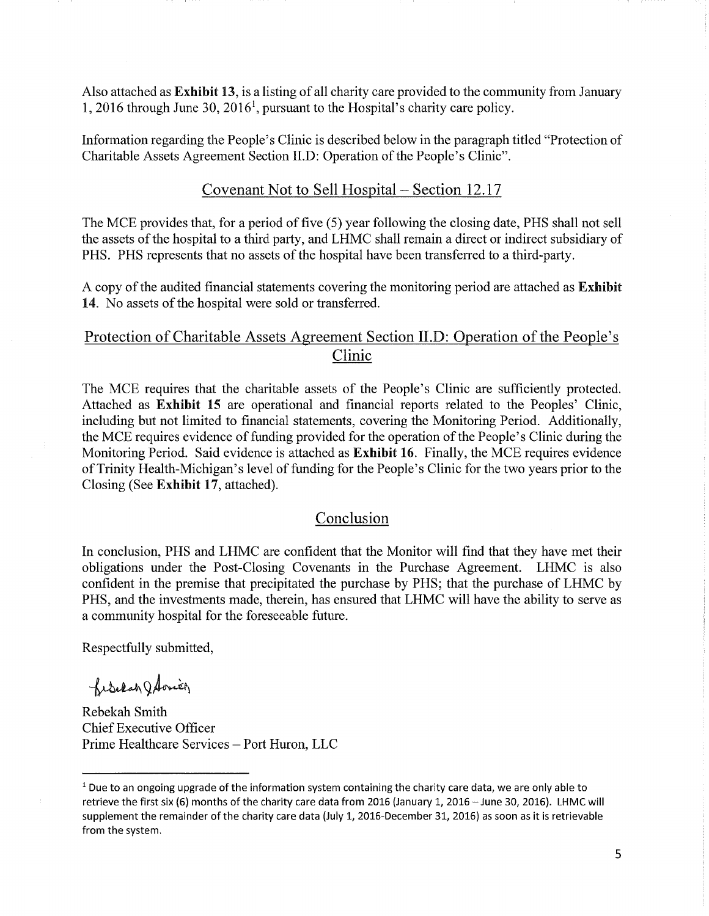Also attached as Exhibit 13, is a listing of all charity care provided to the community from January 1, 2016 through June 30, 2016<sup>1</sup>, pursuant to the Hospital's charity care policy.

Information regarding the People's Clinic is described below in the paragraph titled "Protection of Charitable Assets Agreement Section II.D: Operation of the People's Clinic".

## Covenant Not to Sell Hospital – Section 12.17

The MCE provides that, for a period of five (5) year following the closing date, PHS shall not sell the assets of the hospital to a third party, and LHMC shall remain a direct or indirect subsidiary of PHS. PHS represents that no assets of the hospital have been transferred to a third-party.

A copy of the audited financial statements covering the monitoring period are attached as **Exhibit** 14. No assets of the hospital were sold or transferred.

# Protection of Charitable Assets Agreement Section II.D: Operation of the People's Clinic

The MCE requires that the charitable assets of the People's Clinic are sufficiently protected. Attached as Exhibit 15 are operational and financial reports related to the Peoples' Clinic, including but not limited to financial statements, covering the Monitoring Period. Additionally, the MCE requires evidence of funding provided for the operation of the People's Clinic during the Monitoring Period. Said evidence is attached as Exhibit 16. Finally, the MCE requires evidence of Trinity Health-Michigan's level of funding for the People's Clinic for the two years prior to the Closing (See Exhibit 17, attached).

## Conclusion

In conclusion, PHS and LHMC are confident that the Monitor will find that they have met their obligations under the Post-Closing Covenants in the Purchase Agreement. LHMC is also confident in the premise that precipitated the purchase by PHS; that the purchase of LHMC by PHS, and the investments made, therein, has ensured that LHMC will have the ability to serve as a community hospital for the foreseeable future.

Respectfully submitted,

fisclah J Aonier

Rebekah Smith Chief Executive Officer Prime Healthcare Services - Port Huron, LLC

<sup>&</sup>lt;sup>1</sup> Due to an ongoing upgrade of the information system containing the charity care data, we are only able to retrieve the first six (6) months of the charity care data from 2016 (January 1, 2016 - June 30, 2016). LHMC will supplement the remainder of the charity care data {July 1, 2016-December 31, 2016) as soon as it is retrievable from the system.